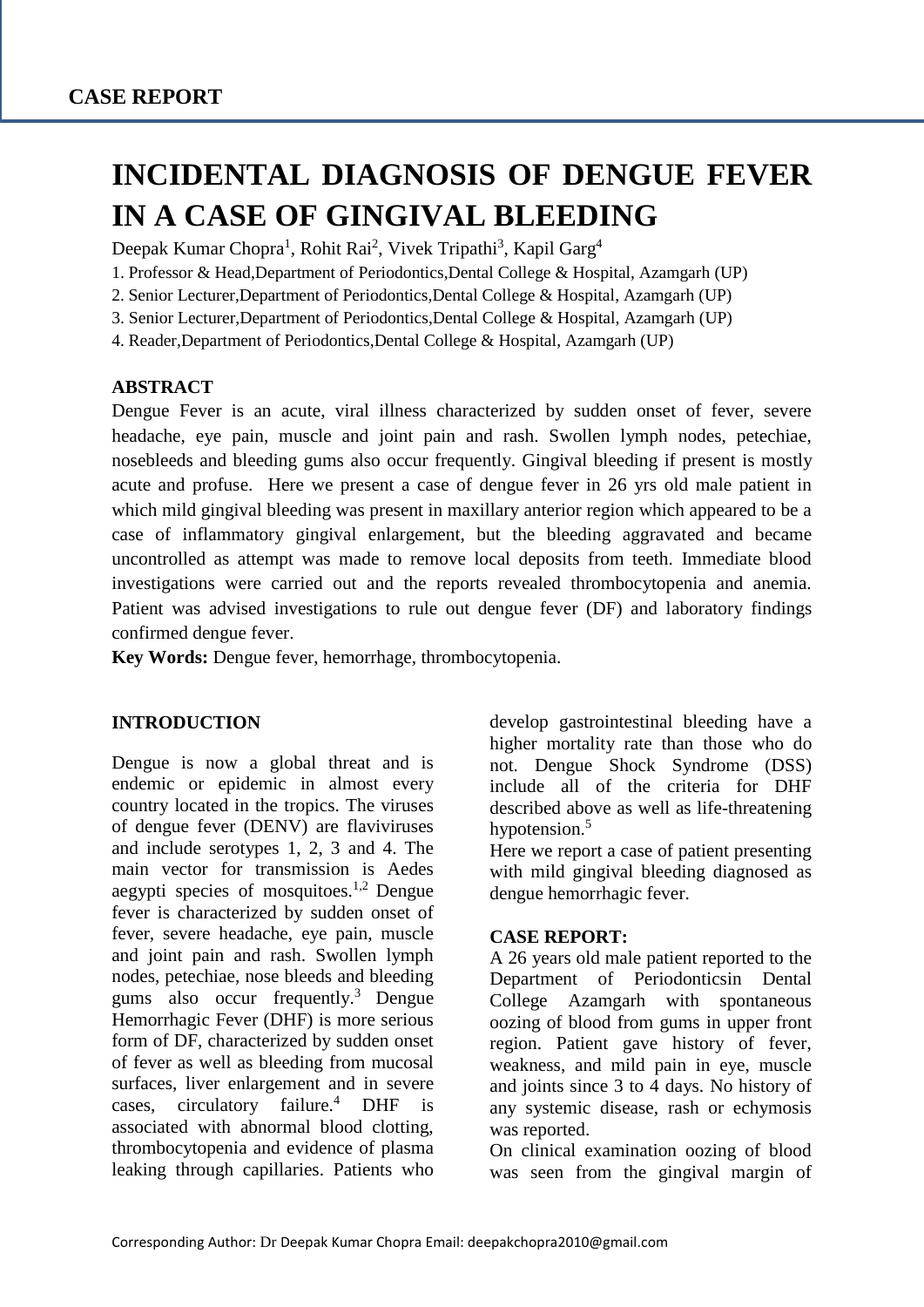# **INCIDENTAL DIAGNOSIS OF DENGUE FEVER IN A CASE OF GINGIVAL BLEEDING**

Deepak Kumar Chopra<sup>1</sup>, Rohit Rai<sup>2</sup>, Vivek Tripathi<sup>3</sup>, Kapil Garg<sup>4</sup>

1. Professor & Head,Department of Periodontics,Dental College & Hospital, Azamgarh (UP)

2. Senior Lecturer,Department of Periodontics,Dental College & Hospital, Azamgarh (UP)

3. Senior Lecturer,Department of Periodontics,Dental College & Hospital, Azamgarh (UP)

4. Reader,Department of Periodontics,Dental College & Hospital, Azamgarh (UP)

#### **ABSTRACT**

Dengue Fever is an acute, viral illness characterized by sudden onset of fever, severe headache, eye pain, muscle and joint pain and rash. Swollen lymph nodes, petechiae, nosebleeds and bleeding gums also occur frequently. Gingival bleeding if present is mostly acute and profuse. Here we present a case of dengue fever in 26 yrs old male patient in which mild gingival bleeding was present in maxillary anterior region which appeared to be a case of inflammatory gingival enlargement, but the bleeding aggravated and became uncontrolled as attempt was made to remove local deposits from teeth. Immediate blood investigations were carried out and the reports revealed thrombocytopenia and anemia. Patient was advised investigations to rule out dengue fever (DF) and laboratory findings confirmed dengue fever.

**Key Words:** Dengue fever, hemorrhage, thrombocytopenia.

#### **INTRODUCTION**

Dengue is now a global threat and is endemic or epidemic in almost every country located in the tropics. The viruses of dengue fever (DENV) are flaviviruses and include serotypes 1, 2, 3 and 4. The main vector for transmission is Aedes aegypti species of mosquitoes. $1,2$  Dengue fever is characterized by sudden onset of fever, severe headache, eye pain, muscle and joint pain and rash. Swollen lymph nodes, petechiae, nose bleeds and bleeding gums also occur frequently. $3$  Dengue Hemorrhagic Fever (DHF) is more serious form of DF, characterized by sudden onset of fever as well as bleeding from mucosal surfaces, liver enlargement and in severe cases, circulatory failure.<sup>4</sup> DHF is associated with abnormal blood clotting, thrombocytopenia and evidence of plasma leaking through capillaries. Patients who develop gastrointestinal bleeding have a higher mortality rate than those who do not. Dengue Shock Syndrome (DSS) include all of the criteria for DHF described above as well as life-threatening hypotension.<sup>5</sup>

Here we report a case of patient presenting with mild gingival bleeding diagnosed as dengue hemorrhagic fever.

#### **CASE REPORT:**

A 26 years old male patient reported to the Department of Periodonticsin Dental College Azamgarh with spontaneous oozing of blood from gums in upper front region. Patient gave history of fever, weakness, and mild pain in eye, muscle and joints since 3 to 4 days. No history of any systemic disease, rash or echymosis was reported.

On clinical examination oozing of blood was seen from the gingival margin of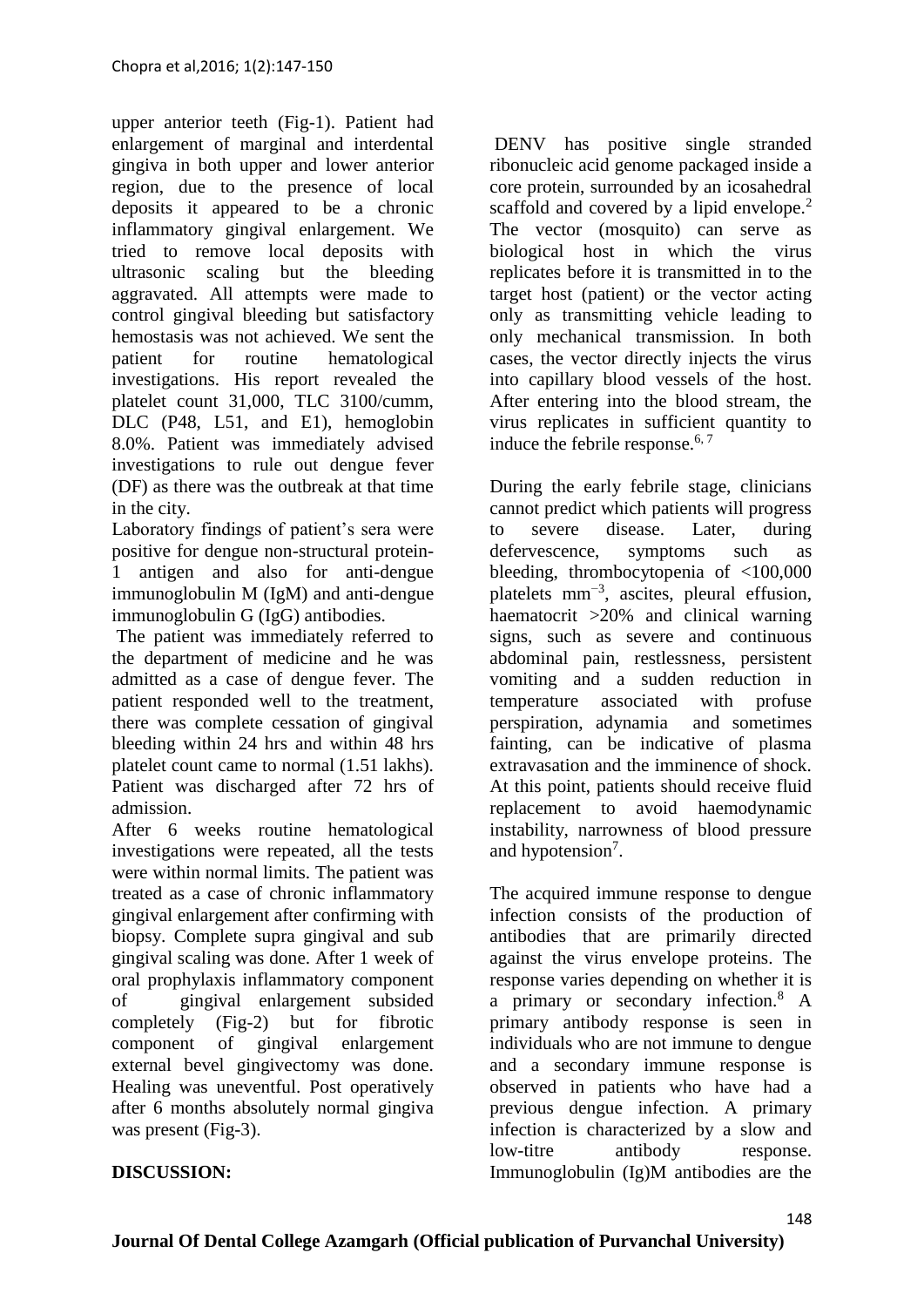upper anterior teeth (Fig-1). Patient had enlargement of marginal and interdental gingiva in both upper and lower anterior region, due to the presence of local deposits it appeared to be a chronic inflammatory gingival enlargement. We tried to remove local deposits with ultrasonic scaling but the bleeding aggravated. All attempts were made to control gingival bleeding but satisfactory hemostasis was not achieved. We sent the patient for routine hematological investigations. His report revealed the platelet count 31,000, TLC 3100/cumm, DLC (P48, L51, and E1), hemoglobin 8.0%. Patient was immediately advised investigations to rule out dengue fever (DF) as there was the outbreak at that time in the city.

Laboratory findings of patient's sera were positive for dengue non-structural protein-1 antigen and also for anti-dengue immunoglobulin M (IgM) and anti-dengue immunoglobulin G (IgG) antibodies.

The patient was immediately referred to the department of medicine and he was admitted as a case of dengue fever. The patient responded well to the treatment, there was complete cessation of gingival bleeding within 24 hrs and within 48 hrs platelet count came to normal (1.51 lakhs). Patient was discharged after 72 hrs of admission.

After 6 weeks routine hematological investigations were repeated, all the tests were within normal limits. The patient was treated as a case of chronic inflammatory gingival enlargement after confirming with biopsy. Complete supra gingival and sub gingival scaling was done. After 1 week of oral prophylaxis inflammatory component of gingival enlargement subsided completely (Fig-2) but for fibrotic component of gingival enlargement external bevel gingivectomy was done. Healing was uneventful. Post operatively after 6 months absolutely normal gingiva was present (Fig-3).

DENV has positive single stranded ribonucleic acid genome packaged inside a core protein, surrounded by an icosahedral scaffold and covered by a lipid envelope.<sup>2</sup> The vector (mosquito) can serve as biological host in which the virus replicates before it is transmitted in to the target host (patient) or the vector acting only as transmitting vehicle leading to only mechanical transmission. In both cases, the vector directly injects the virus into capillary blood vessels of the host. After entering into the blood stream, the virus replicates in sufficient quantity to induce the febrile response.  $6, 7$ 

During the early febrile stage, clinicians cannot predict which patients will progress to severe disease. Later, during defervescence, symptoms such as bleeding, thrombocytopenia of <100,000 platelets  $mm^{-3}$ , ascites, pleural effusion, haematocrit >20% and clinical warning signs, such as severe and continuous abdominal pain, restlessness, persistent vomiting and a sudden reduction in temperature associated with profuse perspiration, adynamia and sometimes fainting, can be indicative of plasma extravasation and the imminence of shock. At this point, patients should receive fluid replacement to avoid haemodynamic instability, narrowness of blood pressure and hypotension<sup>7</sup>.

The acquired immune response to dengue infection consists of the production of antibodies that are primarily directed against the virus envelope proteins. The response varies depending on whether it is a primary or secondary infection.<sup>8</sup> A primary antibody response is seen in individuals who are not immune to dengue and a secondary immune response is observed in patients who have had a previous dengue infection. A primary infection is characterized by a slow and low-titre antibody response. Immunoglobulin (Ig)M antibodies are the

#### **DISCUSSION:**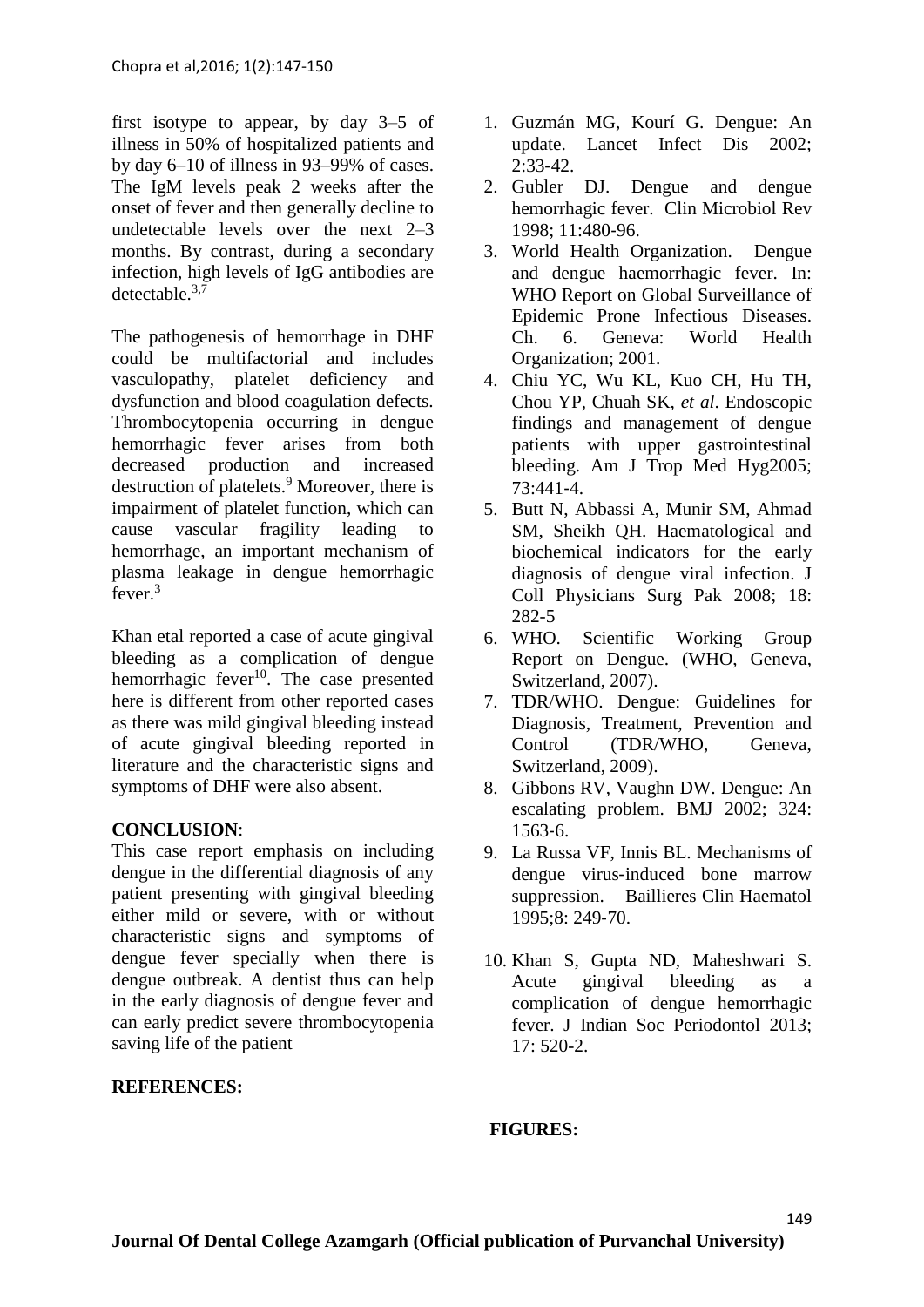first isotype to appear, by day 3–5 of illness in 50% of hospitalized patients and by day 6–10 of illness in 93–99% of cases. The IgM levels peak 2 weeks after the onset of fever and then generally decline to undetectable levels over the next 2–3 months. By contrast, during a secondary infection, high levels of IgG antibodies are detectable.3,7

The pathogenesis of hemorrhage in DHF could be multifactorial and includes vasculopathy, platelet deficiency and dysfunction and blood coagulation defects. Thrombocytopenia occurring in dengue hemorrhagic fever arises from both decreased production and increased destruction of platelets.<sup>9</sup> Moreover, there is impairment of platelet function, which can cause vascular fragility leading to hemorrhage, an important mechanism of plasma leakage in dengue hemorrhagic fever  $3$ 

Khan etal reported a case of acute gingival bleeding as a complication of dengue hemorrhagic fever<sup>10</sup>. The case presented here is different from other reported cases as there was mild gingival bleeding instead of acute gingival bleeding reported in literature and the characteristic signs and symptoms of DHF were also absent.

#### **CONCLUSION**:

This case report emphasis on including dengue in the differential diagnosis of any patient presenting with gingival bleeding either mild or severe, with or without characteristic signs and symptoms of dengue fever specially when there is dengue outbreak. A dentist thus can help in the early diagnosis of dengue fever and can early predict severe thrombocytopenia saving life of the patient

#### **REFERENCES:**

- 1. Guzmán MG, Kourí G. Dengue: An update. Lancet Infect Dis 2002;  $2:33-42.$
- 2. Gubler DJ. Dengue and dengue hemorrhagic fever. Clin Microbiol Rev 1998; 11:480‑96.
- 3. World Health Organization. Dengue and dengue haemorrhagic fever. In: WHO Report on Global Surveillance of Epidemic Prone Infectious Diseases. Ch. 6. Geneva: World Health Organization; 2001.
- 4. Chiu YC, Wu KL, Kuo CH, Hu TH, Chou YP, Chuah SK, *et al*. Endoscopic findings and management of dengue patients with upper gastrointestinal bleeding. Am J Trop Med Hyg2005; 73:441‑4.
- 5. Butt N, Abbassi A, Munir SM, Ahmad SM, Sheikh QH. Haematological and biochemical indicators for the early diagnosis of dengue viral infection. J Coll Physicians Surg Pak 2008; 18: 282-5
- 6. WHO. Scientific Working Group Report on Dengue. (WHO, Geneva, Switzerland, 2007).
- 7. TDR/WHO. Dengue: Guidelines for Diagnosis, Treatment, Prevention and Control (TDR/WHO, Geneva, Switzerland, 2009).
- 8. Gibbons RV, Vaughn DW. Dengue: An escalating problem. BMJ 2002; 324: 1563‑6.
- 9. La Russa VF, Innis BL. Mechanisms of dengue virus‑induced bone marrow suppression. Baillieres Clin Haematol 1995;8: 249‑70.
- 10. Khan S, Gupta ND, Maheshwari S. Acute gingival bleeding as a complication of dengue hemorrhagic fever. J Indian Soc Periodontol 2013; 17: 520-2.

149

#### **FIGURES:**